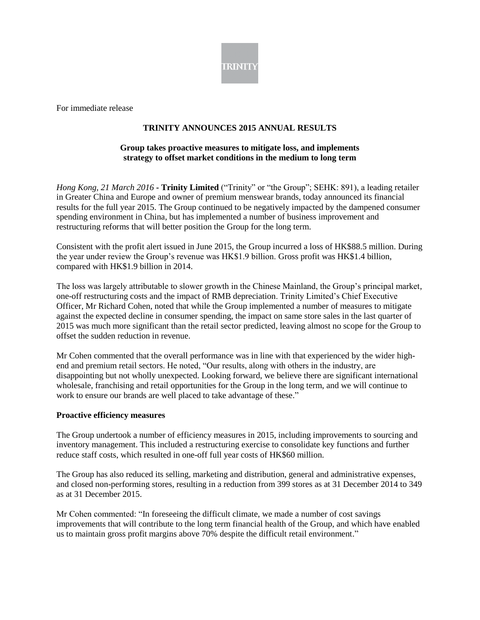

For immediate release

# **TRINITY ANNOUNCES 2015 ANNUAL RESULTS**

### **Group takes proactive measures to mitigate loss, and implements strategy to offset market conditions in the medium to long term**

*Hong Kong, 21 March 2016* **- Trinity Limited** ("Trinity" or "the Group"; SEHK: 891), a leading retailer in Greater China and Europe and owner of premium menswear brands, today announced its financial results for the full year 2015. The Group continued to be negatively impacted by the dampened consumer spending environment in China, but has implemented a number of business improvement and restructuring reforms that will better position the Group for the long term.

Consistent with the profit alert issued in June 2015, the Group incurred a loss of HK\$88.5 million. During the year under review the Group's revenue was HK\$1.9 billion. Gross profit was HK\$1.4 billion, compared with HK\$1.9 billion in 2014.

The loss was largely attributable to slower growth in the Chinese Mainland, the Group's principal market, one-off restructuring costs and the impact of RMB depreciation. Trinity Limited's Chief Executive Officer, Mr Richard Cohen, noted that while the Group implemented a number of measures to mitigate against the expected decline in consumer spending, the impact on same store sales in the last quarter of 2015 was much more significant than the retail sector predicted, leaving almost no scope for the Group to offset the sudden reduction in revenue.

Mr Cohen commented that the overall performance was in line with that experienced by the wider highend and premium retail sectors. He noted, "Our results, along with others in the industry, are disappointing but not wholly unexpected. Looking forward, we believe there are significant international wholesale, franchising and retail opportunities for the Group in the long term, and we will continue to work to ensure our brands are well placed to take advantage of these."

#### **Proactive efficiency measures**

The Group undertook a number of efficiency measures in 2015, including improvements to sourcing and inventory management. This included a restructuring exercise to consolidate key functions and further reduce staff costs, which resulted in one-off full year costs of HK\$60 million.

The Group has also reduced its selling, marketing and distribution, general and administrative expenses, and closed non-performing stores, resulting in a reduction from 399 stores as at 31 December 2014 to 349 as at 31 December 2015.

Mr Cohen commented: "In foreseeing the difficult climate, we made a number of cost savings improvements that will contribute to the long term financial health of the Group, and which have enabled us to maintain gross profit margins above 70% despite the difficult retail environment."